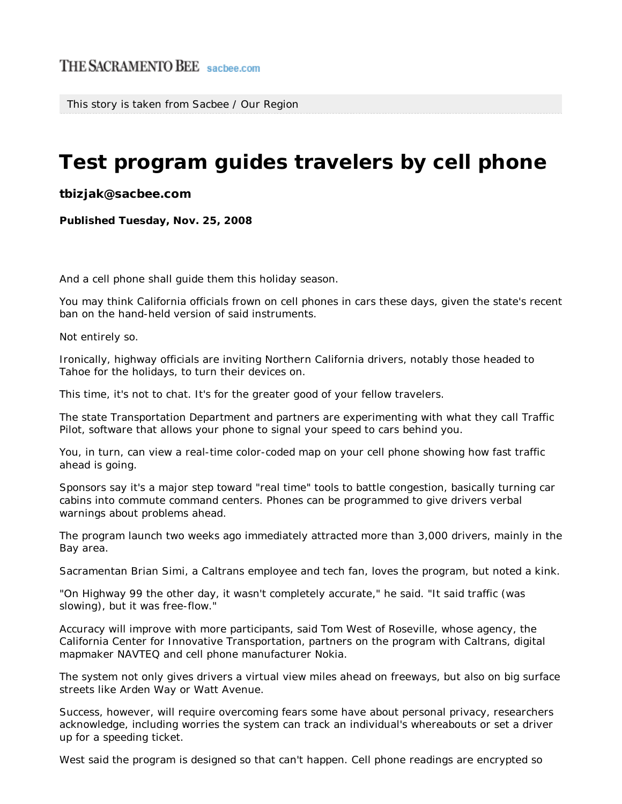This story is taken from Sacbee / Our Region

## **Test program guides travelers by cell phone**

**tbizjak@sacbee.com**

**Published Tuesday, Nov. 25, 2008**

And a cell phone shall guide them this holiday season.

You may think California officials frown on cell phones in cars these days, given the state's recent ban on the hand-held version of said instruments.

Not entirely so.

Ironically, highway officials are inviting Northern California drivers, notably those headed to Tahoe for the holidays, to turn their devices on.

This time, it's not to chat. It's for the greater good of your fellow travelers.

The state Transportation Department and partners are experimenting with what they call Traffic Pilot, software that allows your phone to signal your speed to cars behind you.

You, in turn, can view a real-time color-coded map on your cell phone showing how fast traffic ahead is going.

Sponsors say it's a major step toward "real time" tools to battle congestion, basically turning car cabins into commute command centers. Phones can be programmed to give drivers verbal warnings about problems ahead.

The program launch two weeks ago immediately attracted more than 3,000 drivers, mainly in the Bay area.

Sacramentan Brian Simi, a Caltrans employee and tech fan, loves the program, but noted a kink.

"On Highway 99 the other day, it wasn't completely accurate," he said. "It said traffic (was slowing), but it was free-flow."

Accuracy will improve with more participants, said Tom West of Roseville, whose agency, the California Center for Innovative Transportation, partners on the program with Caltrans, digital mapmaker NAVTEQ and cell phone manufacturer Nokia.

The system not only gives drivers a virtual view miles ahead on freeways, but also on big surface streets like Arden Way or Watt Avenue.

Success, however, will require overcoming fears some have about personal privacy, researchers acknowledge, including worries the system can track an individual's whereabouts or set a driver up for a speeding ticket.

West said the program is designed so that can't happen. Cell phone readings are encrypted so